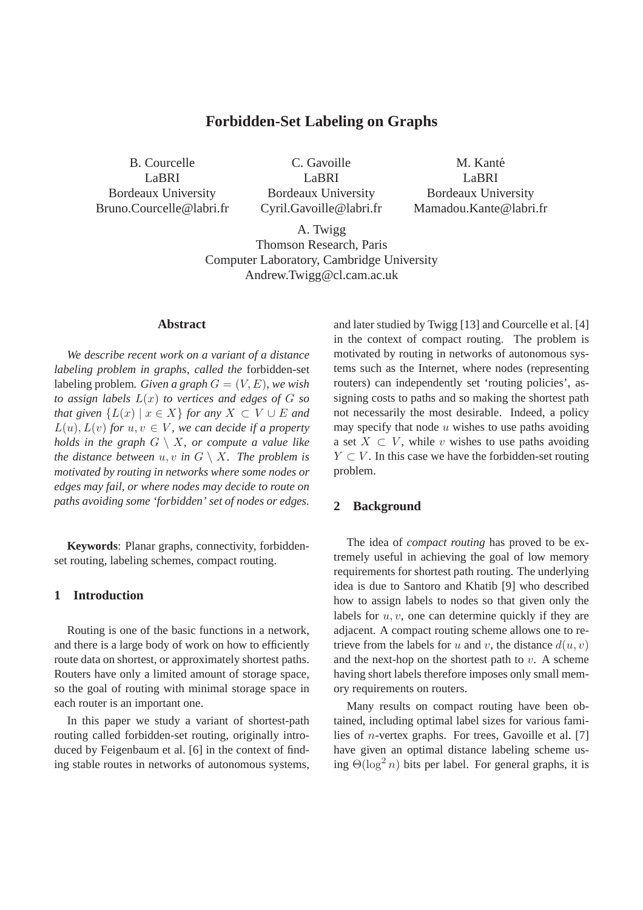# **Forbidden-Set Labeling on Graphs**

B. Courcelle LaBRI Bordeaux University Bruno.Courcelle@labri.fr

C. Gavoille LaBRI Bordeaux University Cyril.Gavoille@labri.fr

M. Kanté LaBRI Bordeaux University Mamadou.Kante@labri.fr

A. Twigg Thomson Research, Paris Computer Laboratory, Cambridge University Andrew.Twigg@cl.cam.ac.uk

## **Abstract**

*We describe recent work on a variant of a distance labeling problem in graphs, called the* forbidden-set labeling problem. Given a graph  $G = (V, E)$ , we wish *to assign labels* L(x) *to vertices and edges of* G *so that given*  $\{L(x) | x \in X\}$  *for any*  $X \subset V \cup E$  *and*  $L(u)$ ,  $L(v)$  for  $u, v \in V$ , we can decide if a property *holds in the graph*  $G \setminus X$ *, or compute a value like the distance between*  $u, v$  *in*  $G \setminus X$ *. The problem is motivated by routing in networks where some nodes or edges may fail, or where nodes may decide to route on paths avoiding some 'forbidden' set of nodes or edges.*

**Keywords**: Planar graphs, connectivity, forbiddenset routing, labeling schemes, compact routing.

# **1 Introduction**

Routing is one of the basic functions in a network, and there is a large body of work on how to efficiently route data on shortest, or approximately shortest paths. Routers have only a limited amount of storage space, so the goal of routing with minimal storage space in each router is an important one.

In this paper we study a variant of shortest-path routing called forbidden-set routing, originally introduced by Feigenbaum et al. [6] in the context of finding stable routes in networks of autonomous systems, and later studied by Twigg [13] and Courcelle et al. [4] in the context of compact routing. The problem is motivated by routing in networks of autonomous systems such as the Internet, where nodes (representing routers) can independently set 'routing policies', assigning costs to paths and so making the shortest path not necessarily the most desirable. Indeed, a policy may specify that node  $u$  wishes to use paths avoiding a set  $X \subset V$ , while v wishes to use paths avoiding  $Y \subset V$ . In this case we have the forbidden-set routing problem.

# **2 Background**

The idea of *compact routing* has proved to be extremely useful in achieving the goal of low memory requirements for shortest path routing. The underlying idea is due to Santoro and Khatib [9] who described how to assign labels to nodes so that given only the labels for  $u, v$ , one can determine quickly if they are adjacent. A compact routing scheme allows one to retrieve from the labels for u and v, the distance  $d(u, v)$ and the next-hop on the shortest path to  $v$ . A scheme having short labels therefore imposes only small memory requirements on routers.

Many results on compact routing have been obtained, including optimal label sizes for various families of n-vertex graphs. For trees, Gavoille et al. [7] have given an optimal distance labeling scheme using  $\Theta(\log^2 n)$  bits per label. For general graphs, it is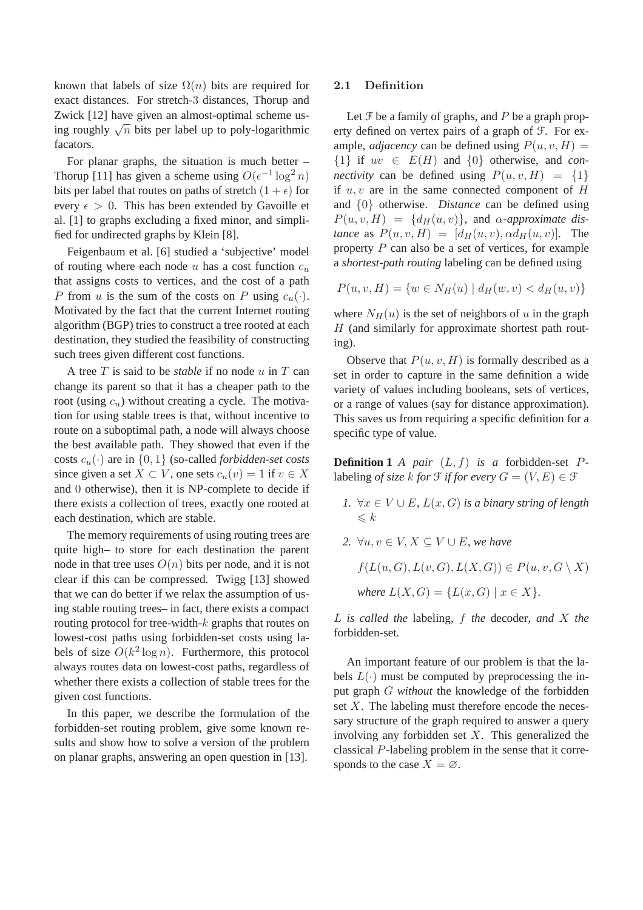known that labels of size  $\Omega(n)$  bits are required for exact distances. For stretch-3 distances, Thorup and Zwick [12] have given an almost-optimal scheme using roughly  $\sqrt{n}$  bits per label up to poly-logarithmic facators.

For planar graphs, the situation is much better – Thorup [11] has given a scheme using  $O(\epsilon^{-1} \log^2 n)$ bits per label that routes on paths of stretch  $(1 + \epsilon)$  for every  $\epsilon > 0$ . This has been extended by Gavoille et al. [1] to graphs excluding a fixed minor, and simplified for undirected graphs by Klein [8].

Feigenbaum et al. [6] studied a 'subjective' model of routing where each node  $u$  has a cost function  $c_u$ that assigns costs to vertices, and the cost of a path P from u is the sum of the costs on P using  $c_u(\cdot)$ . Motivated by the fact that the current Internet routing algorithm (BGP) tries to construct a tree rooted at each destination, they studied the feasibility of constructing such trees given different cost functions.

A tree T is said to be *stable* if no node u in T can change its parent so that it has a cheaper path to the root (using  $c<sub>u</sub>$ ) without creating a cycle. The motivation for using stable trees is that, without incentive to route on a suboptimal path, a node will always choose the best available path. They showed that even if the costs  $c_u(\cdot)$  are in  $\{0, 1\}$  (so-called *forbidden-set costs* since given a set  $X \subset V$ , one sets  $c_u(v) = 1$  if  $v \in X$ and 0 otherwise), then it is NP-complete to decide if there exists a collection of trees, exactly one rooted at each destination, which are stable.

The memory requirements of using routing trees are quite high– to store for each destination the parent node in that tree uses  $O(n)$  bits per node, and it is not clear if this can be compressed. Twigg [13] showed that we can do better if we relax the assumption of using stable routing trees– in fact, there exists a compact routing protocol for tree-width-k graphs that routes on lowest-cost paths using forbidden-set costs using labels of size  $O(k^2 \log n)$ . Furthermore, this protocol always routes data on lowest-cost paths, regardless of whether there exists a collection of stable trees for the given cost functions.

In this paper, we describe the formulation of the forbidden-set routing problem, give some known results and show how to solve a version of the problem on planar graphs, answering an open question in [13].

## 2.1 Definition

Let  $\mathcal F$  be a family of graphs, and  $P$  be a graph property defined on vertex pairs of a graph of F. For example, *adjacency* can be defined using  $P(u, v, H) =$  $\{1\}$  if  $uv \in E(H)$  and  $\{0\}$  otherwise, and *connectivity* can be defined using  $P(u, v, H) = \{1\}$ if  $u, v$  are in the same connected component of  $H$ and {0} otherwise. *Distance* can be defined using  $P(u, v, H) = \{d_H(u, v)\}\$ , and  $\alpha$ -*approximate distance* as  $P(u, v, H) = [d_H(u, v), \alpha d_H(u, v)].$  The property P can also be a set of vertices, for example a *shortest-path routing* labeling can be defined using

$$
P(u, v, H) = \{w \in N_H(u) \mid d_H(w, v) < d_H(u, v)\}
$$

where  $N_H(u)$  is the set of neighbors of u in the graph  $H$  (and similarly for approximate shortest path routing).

Observe that  $P(u, v, H)$  is formally described as a set in order to capture in the same definition a wide variety of values including booleans, sets of vertices, or a range of values (say for distance approximation). This saves us from requiring a specific definition for a specific type of value.

**Definition 1** *A pair*  $(L, f)$  *is a* forbidden-set  $P$ labeling *of size* k *for*  $\mathcal{F}$  *if for every*  $G = (V, E) \in \mathcal{F}$ 

- *1.* ∀ $x \in V \cup E$ *,*  $L(x, G)$  *is a binary string of length*  $\leqslant k$
- *2.* ∀u,  $v \in V$ ,  $X \subseteq V \cup E$ , we have

$$
f(L(u, G), L(v, G), L(X, G)) \in P(u, v, G \setminus X)
$$
  
where  $L(X, G) = \{L(x, G) \mid x \in X\}.$ 

L *is called the* labeling*,* f *the* decoder*, and* X *the* forbidden-set*.*

An important feature of our problem is that the labels  $L(\cdot)$  must be computed by preprocessing the input graph G *without* the knowledge of the forbidden set  $X$ . The labeling must therefore encode the necessary structure of the graph required to answer a query involving any forbidden set  $X$ . This generalized the classical P-labeling problem in the sense that it corresponds to the case  $X = \emptyset$ .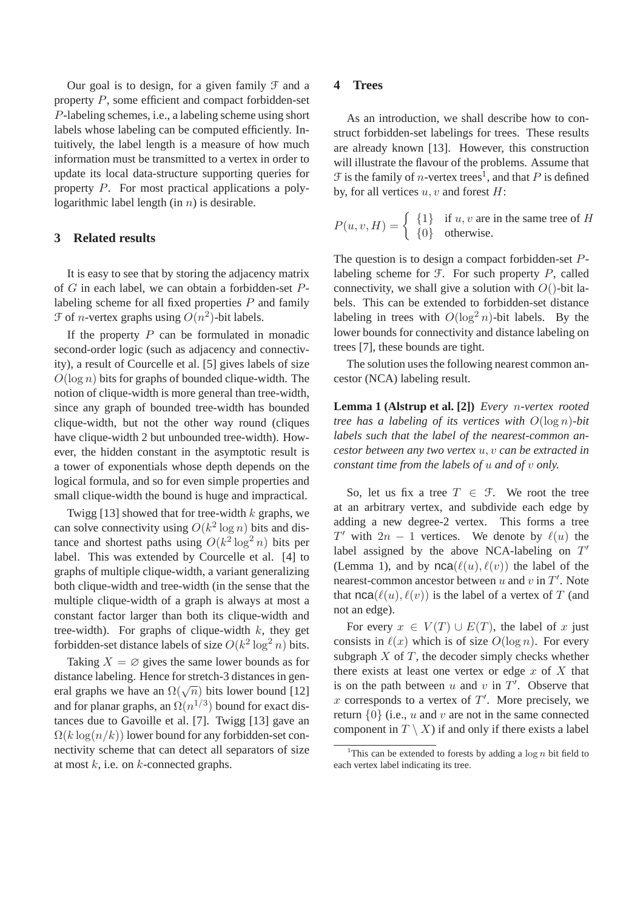Our goal is to design, for a given family  $\mathcal F$  and a property P, some efficient and compact forbidden-set P-labeling schemes, i.e., a labeling scheme using short labels whose labeling can be computed efficiently. Intuitively, the label length is a measure of how much information must be transmitted to a vertex in order to update its local data-structure supporting queries for property P. For most practical applications a polylogarithmic label length (in  $n$ ) is desirable.

# **3 Related results**

It is easy to see that by storing the adjacency matrix of G in each label, we can obtain a forbidden-set Plabeling scheme for all fixed properties P and family  $\mathcal F$  of *n*-vertex graphs using  $O(n^2)$ -bit labels.

If the property  $P$  can be formulated in monadic second-order logic (such as adjacency and connectivity), a result of Courcelle et al. [5] gives labels of size  $O(\log n)$  bits for graphs of bounded clique-width. The notion of clique-width is more general than tree-width, since any graph of bounded tree-width has bounded clique-width, but not the other way round (cliques have clique-width 2 but unbounded tree-width). However, the hidden constant in the asymptotic result is a tower of exponentials whose depth depends on the logical formula, and so for even simple properties and small clique-width the bound is huge and impractical.

Twigg [13] showed that for tree-width  $k$  graphs, we can solve connectivity using  $O(k^2 \log n)$  bits and distance and shortest paths using  $O(k^2 \log^2 n)$  bits per label. This was extended by Courcelle et al. [4] to graphs of multiple clique-width, a variant generalizing both clique-width and tree-width (in the sense that the multiple clique-width of a graph is always at most a constant factor larger than both its clique-width and tree-width). For graphs of clique-width  $k$ , they get forbidden-set distance labels of size  $O(k^2 \log^2 n)$  bits.

Taking  $X = \emptyset$  gives the same lower bounds as for distance labeling. Hence for stretch-3 distances in general graphs we have an  $\Omega(\sqrt{n})$  bits lower bound [12] and for planar graphs, an  $\Omega(n^{1/3})$  bound for exact distances due to Gavoille et al. [7]. Twigg [13] gave an  $\Omega(k \log(n/k))$  lower bound for any forbidden-set connectivity scheme that can detect all separators of size at most  $k$ , i.e. on  $k$ -connected graphs.

## **4 Trees**

As an introduction, we shall describe how to construct forbidden-set labelings for trees. These results are already known [13]. However, this construction will illustrate the flavour of the problems. Assume that  $\mathcal F$  is the family of *n*-vertex trees<sup>1</sup>, and that *P* is defined by, for all vertices  $u, v$  and forest  $H$ :

$$
P(u, v, H) = \begin{cases} \{1\} & \text{if } u, v \text{ are in the same tree of } H \\ \{0\} & \text{otherwise.} \end{cases}
$$

The question is to design a compact forbidden-set Plabeling scheme for  $F$ . For such property  $P$ , called connectivity, we shall give a solution with  $O()$ -bit labels. This can be extended to forbidden-set distance labeling in trees with  $O(\log^2 n)$ -bit labels. By the lower bounds for connectivity and distance labeling on trees [7], these bounds are tight.

The solution uses the following nearest common ancestor (NCA) labeling result.

**Lemma 1 (Alstrup et al. [2])** *Every* n*-vertex rooted tree has a labeling of its vertices with* O(log n)*-bit labels such that the label of the nearest-common ancestor between any two vertex* u, v *can be extracted in constant time from the labels of* u *and of* v *only.*

So, let us fix a tree  $T \in \mathcal{F}$ . We root the tree at an arbitrary vertex, and subdivide each edge by adding a new degree-2 vertex. This forms a tree  $T'$  with  $2n - 1$  vertices. We denote by  $\ell(u)$  the label assigned by the above NCA-labeling on  $T'$ (Lemma 1), and by  $nca(\ell(u), \ell(v))$  the label of the nearest-common ancestor between  $u$  and  $v$  in  $T'$ . Note that  $nca(\ell(u), \ell(v))$  is the label of a vertex of T (and not an edge).

For every  $x \in V(T) \cup E(T)$ , the label of x just consists in  $\ell(x)$  which is of size  $O(\log n)$ . For every subgraph  $X$  of  $T$ , the decoder simply checks whether there exists at least one vertex or edge  $x$  of  $X$  that is on the path between  $u$  and  $v$  in  $T'$ . Observe that x corresponds to a vertex of  $T'$ . More precisely, we return  $\{0\}$  (i.e., u and v are not in the same connected component in  $T \setminus X$  if and only if there exists a label

<sup>&</sup>lt;sup>1</sup>This can be extended to forests by adding a  $\log n$  bit field to each vertex label indicating its tree.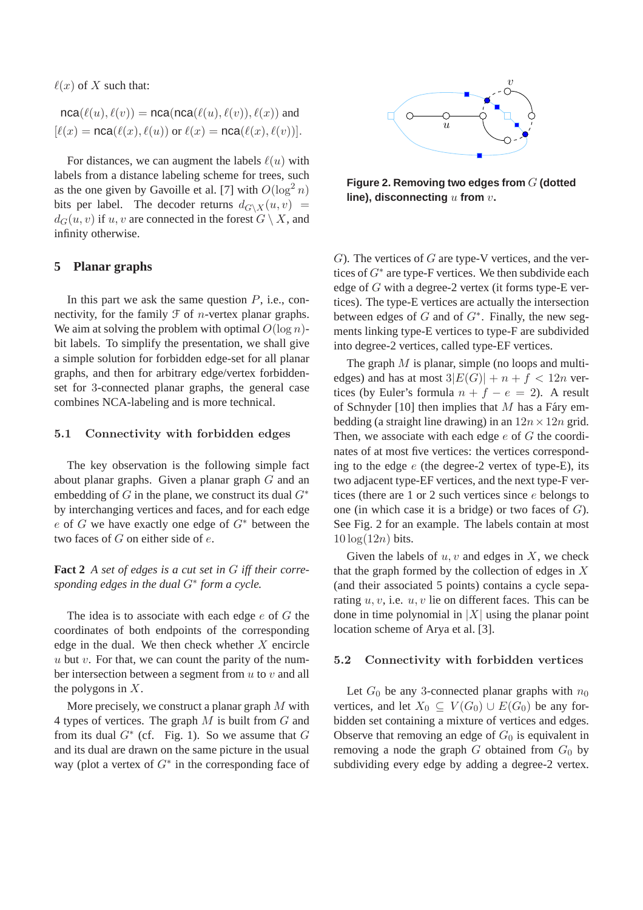$\ell(x)$  of X such that:

$$
nca(\ell(u), \ell(v)) = nca(nca(\ell(u), \ell(v)), \ell(x))
$$
 and  

$$
[\ell(x) = nca(\ell(x), \ell(u)) \text{ or } \ell(x) = nca(\ell(x), \ell(v))].
$$

For distances, we can augment the labels  $\ell(u)$  with labels from a distance labeling scheme for trees, such as the one given by Gavoille et al. [7] with  $O(\log^2 n)$ bits per label. The decoder returns  $d_{G\setminus X}(u, v)$  =  $d_G(u, v)$  if u, v are connected in the forest  $G \setminus X$ , and infinity otherwise.

## **5 Planar graphs**

In this part we ask the same question  $P$ , i.e., connectivity, for the family  $\mathcal F$  of *n*-vertex planar graphs. We aim at solving the problem with optimal  $O(\log n)$ bit labels. To simplify the presentation, we shall give a simple solution for forbidden edge-set for all planar graphs, and then for arbitrary edge/vertex forbiddenset for 3-connected planar graphs, the general case combines NCA-labeling and is more technical.

### 5.1 Connectivity with forbidden edges

The key observation is the following simple fact about planar graphs. Given a planar graph G and an embedding of G in the plane, we construct its dual  $G^*$ by interchanging vertices and faces, and for each edge e of G we have exactly one edge of  $G^*$  between the two faces of G on either side of e.

**Fact 2** *A set of edges is a cut set in* G *iff their corresponding edges in the dual* G<sup>∗</sup> *form a cycle.*

The idea is to associate with each edge  $e$  of  $G$  the coordinates of both endpoints of the corresponding edge in the dual. We then check whether  $X$  encircle u but v. For that, we can count the parity of the number intersection between a segment from  $u$  to  $v$  and all the polygons in  $X$ .

More precisely, we construct a planar graph  $M$  with 4 types of vertices. The graph  $M$  is built from  $G$  and from its dual  $G^*$  (cf. Fig. 1). So we assume that  $G$ and its dual are drawn on the same picture in the usual way (plot a vertex of  $G^*$  in the corresponding face of



**Figure 2. Removing two edges from** G **(dotted line), disconnecting** u **from** v**.**

 $G$ ). The vertices of  $G$  are type-V vertices, and the vertices of  $G^*$  are type-F vertices. We then subdivide each edge of G with a degree-2 vertex (it forms type-E vertices). The type-E vertices are actually the intersection between edges of  $G$  and of  $G^*$ . Finally, the new segments linking type-E vertices to type-F are subdivided into degree-2 vertices, called type-EF vertices.

The graph  $M$  is planar, simple (no loops and multiedges) and has at most  $3|E(G)| + n + f < 12n$  vertices (by Euler's formula  $n + f - e = 2$ ). A result of Schnyder [10] then implies that  $M$  has a Fáry embedding (a straight line drawing) in an  $12n \times 12n$  grid. Then, we associate with each edge  $e$  of  $G$  the coordinates of at most five vertices: the vertices corresponding to the edge  $e$  (the degree-2 vertex of type-E), its two adjacent type-EF vertices, and the next type-F vertices (there are 1 or 2 such vertices since e belongs to one (in which case it is a bridge) or two faces of  $G$ ). See Fig. 2 for an example. The labels contain at most  $10 \log(12n)$  bits.

Given the labels of  $u, v$  and edges in  $X$ , we check that the graph formed by the collection of edges in  $X$ (and their associated 5 points) contains a cycle separating  $u, v$ , i.e.  $u, v$  lie on different faces. This can be done in time polynomial in  $|X|$  using the planar point location scheme of Arya et al. [3].

#### 5.2 Connectivity with forbidden vertices

Let  $G_0$  be any 3-connected planar graphs with  $n_0$ vertices, and let  $X_0 \subseteq V(G_0) \cup E(G_0)$  be any forbidden set containing a mixture of vertices and edges. Observe that removing an edge of  $G_0$  is equivalent in removing a node the graph  $G$  obtained from  $G_0$  by subdividing every edge by adding a degree-2 vertex.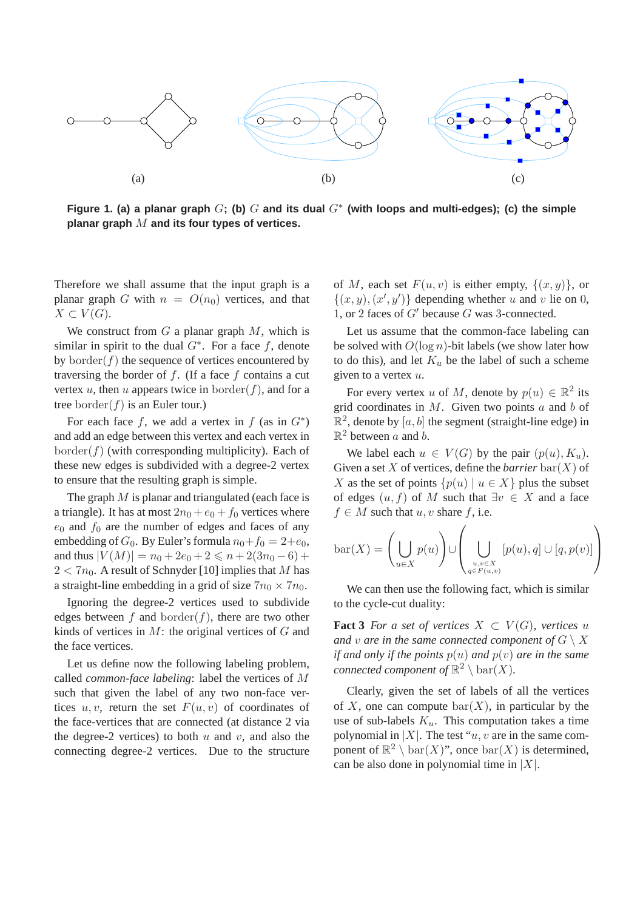

Figure 1. (a) a planar graph  $G$ ; (b)  $G$  and its dual  $G^*$  (with loops and multi-edges); (c) the simple **planar graph** M **and its four types of vertices.**

Therefore we shall assume that the input graph is a planar graph G with  $n = O(n_0)$  vertices, and that  $X \subset V(G)$ .

We construct from  $G$  a planar graph  $M$ , which is similar in spirit to the dual  $G^*$ . For a face f, denote by border $(f)$  the sequence of vertices encountered by traversing the border of  $f$ . (If a face  $f$  contains a cut vertex u, then u appears twice in border(f), and for a tree border $(f)$  is an Euler tour.)

For each face f, we add a vertex in f (as in  $G^*$ ) and add an edge between this vertex and each vertex in  $border(f)$  (with corresponding multiplicity). Each of these new edges is subdivided with a degree-2 vertex to ensure that the resulting graph is simple.

The graph  $M$  is planar and triangulated (each face is a triangle). It has at most  $2n_0 + e_0 + f_0$  vertices where  $e_0$  and  $f_0$  are the number of edges and faces of any embedding of  $G_0$ . By Euler's formula  $n_0+f_0 = 2+e_0$ , and thus  $|V(M)| = n_0 + 2e_0 + 2 \leq n + 2(3n_0 - 6) +$  $2 < 7n_0$ . A result of Schnyder [10] implies that M has a straight-line embedding in a grid of size  $7n_0 \times 7n_0$ .

Ignoring the degree-2 vertices used to subdivide edges between f and border(f), there are two other kinds of vertices in  $M$ : the original vertices of  $G$  and the face vertices.

Let us define now the following labeling problem, called *common-face labeling*: label the vertices of M such that given the label of any two non-face vertices  $u, v$ , return the set  $F(u, v)$  of coordinates of the face-vertices that are connected (at distance 2 via the degree-2 vertices) to both  $u$  and  $v$ , and also the connecting degree-2 vertices. Due to the structure of M, each set  $F(u, v)$  is either empty,  $\{(x, y)\}\)$ , or  $\{(x, y), (x', y')\}$  depending whether u and v lie on 0, 1, or 2 faces of  $G'$  because  $G$  was 3-connected.

Let us assume that the common-face labeling can be solved with  $O(\log n)$ -bit labels (we show later how to do this), and let  $K_u$  be the label of such a scheme given to a vertex  $u$ .

For every vertex u of M, denote by  $p(u) \in \mathbb{R}^2$  its grid coordinates in  $M$ . Given two points  $a$  and  $b$  of  $\mathbb{R}^2$ , denote by  $[a, b]$  the segment (straight-line edge) in  $\mathbb{R}^2$  between a and b.

We label each  $u \in V(G)$  by the pair  $(p(u), K_u)$ . Given a set X of vertices, define the *barrier* bar(X) of X as the set of points  $\{p(u) | u \in X\}$  plus the subset of edges  $(u, f)$  of M such that  $\exists v \in X$  and a face  $f \in M$  such that  $u, v$  share f, i.e.

$$
bar(X) = \left(\bigcup_{u \in X} p(u)\right) \cup \left(\bigcup_{\substack{u,v \in X \\ q \in F(u,v)}} [p(u), q] \cup [q, p(v)]\right)
$$

We can then use the following fact, which is similar to the cycle-cut duality:

**Fact 3** *For a set of vertices*  $X \subset V(G)$ *, vertices* u *and* v are in the same connected component of  $G \setminus X$ *if and only if the points*  $p(u)$  *and*  $p(v)$  *are in the same connected component of*  $\mathbb{R}^2 \setminus \text{bar}(X)$ *.* 

Clearly, given the set of labels of all the vertices of X, one can compute  $bar(X)$ , in particular by the use of sub-labels  $K_u$ . This computation takes a time polynomial in |X|. The test " $u, v$  are in the same component of  $\mathbb{R}^2 \setminus \text{bar}(X)$ ", once  $\text{bar}(X)$  is determined, can be also done in polynomial time in  $|X|$ .